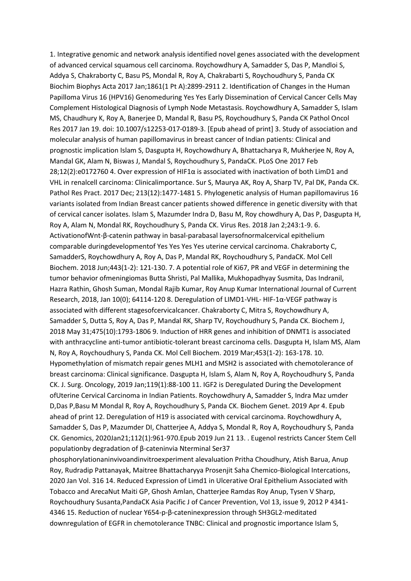1. Integrative genomic and network analysis identified novel genes associated with the development of advanced cervical squamous cell carcinoma. Roychowdhury A, Samadder S, Das P, Mandloi S, Addya S, Chakraborty C, Basu PS, Mondal R, Roy A, Chakrabarti S, Roychoudhury S, Panda CK Biochim Biophys Acta 2017 Jan;1861(1 Pt A):2899-2911 2. Identification of Changes in the Human Papilloma Virus 16 (HPV16) Genomeduring Yes Yes Early Dissemination of Cervical Cancer Cells May Complement Histological Diagnosis of Lymph Node Metastasis. Roychowdhury A, Samadder S, Islam MS, Chaudhury K, Roy A, Banerjee D, Mandal R, Basu PS, Roychoudhury S, Panda CK Pathol Oncol Res 2017 Jan 19. doi: 10.1007/s12253-017-0189-3. [Epub ahead of print] 3. Study of association and molecular analysis of human papillomavirus in breast cancer of Indian patients: Clinical and prognostic implication Islam S, Dasgupta H, Roychowdhury A, Bhattacharya R, Mukherjee N, Roy A, Mandal GK, Alam N, Biswas J, Mandal S, Roychoudhury S, PandaCK. PLoS One 2017 Feb 28;12(2):e0172760 4. Over expression of HIF1α is associated with inactivation of both LimD1 and VHL in renalcell carcinoma: Clinicalimportance. Sur S, Maurya AK, Roy A, Sharp TV, Pal DK, Panda CK. Pathol Res Pract. 2017 Dec; 213(12):1477-1481 5. Phylogenetic analysis of Human papillomavirus 16 variants isolated from Indian Breast cancer patients showed difference in genetic diversity with that of cervical cancer isolates. Islam S, Mazumder Indra D, Basu M, Roy chowdhury A, Das P, Dasgupta H, Roy A, Alam N, Mondal RK, Roychoudhury S, Panda CK. Virus Res. 2018 Jan 2;243:1-9. 6. ActivationofWnt-β-catenin pathway in basal-parabasal layersofnormalcervical epithelium comparable duringdevelopmentof Yes Yes Yes Yes uterine cervical carcinoma. Chakraborty C, SamadderS, Roychowdhury A, Roy A, Das P, Mandal RK, Roychoudhury S, PandaCK. Mol Cell Biochem. 2018 Jun;443(1-2): 121-130. 7. A potential role of Ki67, PR and VEGF in determining the tumor behavior ofmeningiomas Butta Shristi, Pal Mallika, Mukhopadhyay Susmita, Das Indranil, Hazra Rathin, Ghosh Suman, Mondal Rajib Kumar, Roy Anup Kumar International Journal of Current Research, 2018, Jan 10(0); 64114-120 8. Deregulation of LIMD1-VHL- HIF-1α-VEGF pathway is associated with different stagesofcervicalcancer. Chakraborty C, Mitra S, Roychowdhury A, Samadder S, Dutta S, Roy A, Das P, Mandal RK, Sharp TV, Roychoudhury S, Panda CK. Biochem J, 2018 May 31;475(10):1793-1806 9. Induction of HRR genes and inhibition of DNMT1 is associated with anthracycline anti-tumor antibiotic-tolerant breast carcinoma cells. Dasgupta H, Islam MS, Alam N, Roy A, Roychoudhury S, Panda CK. Mol Cell Biochem. 2019 Mar;453(1-2): 163-178. 10. Hypomethylation of mismatch repair genes MLH1 and MSH2 is associated with chemotolerance of breast carcinoma: Clinical significance. Dasgupta H, Islam S, Alam N, Roy A, Roychoudhury S, Panda CK. J. Surg. Oncology, 2019 Jan;119(1):88-100 11. IGF2 is Deregulated During the Development ofUterine Cervical Carcinoma in Indian Patients. Roychowdhury A, Samadder S, Indra Maz umder D,Das P,Basu M Mondal R, Roy A, Roychoudhury S, Panda CK. Biochem Genet. 2019 Apr 4. Epub ahead of print 12. Deregulation of H19 is associated with cervical carcinoma. Roychowdhury A, Samadder S, Das P, Mazumder DI, Chatterjee A, Addya S, Mondal R, Roy A, Roychoudhury S, Panda CK. Genomics, 2020Jan21;112(1):961-970.Epub 2019 Jun 21 13. . Eugenol restricts Cancer Stem Cell populationby degradation of β-cateninvia Nterminal Ser37

phosphorylationaninvivoandinvitroexperiment alevaluation Pritha Choudhury, Atish Barua, Anup Roy, Rudradip Pattanayak, Maitree Bhattacharyya Prosenjit Saha Chemico-Biological Intercations, 2020 Jan Vol. 316 14. Reduced Expression of Limd1 in Ulcerative Oral Epithelium Associated with Tobacco and ArecaNut Maiti GP, Ghosh Amlan, Chatterjee Ramdas Roy Anup, Tysen V Sharp, Roychoudhury Susanta,PandaCK Asia Pacific J of Cancer Prevention, Vol 13, issue 9, 2012 P 4341- 4346 15. Reduction of nuclear Y654‐p‐β‐cateninexpression through SH3GL2‐meditated downregulation of EGFR in chemotolerance TNBC: Clinical and prognostic importance Islam S,